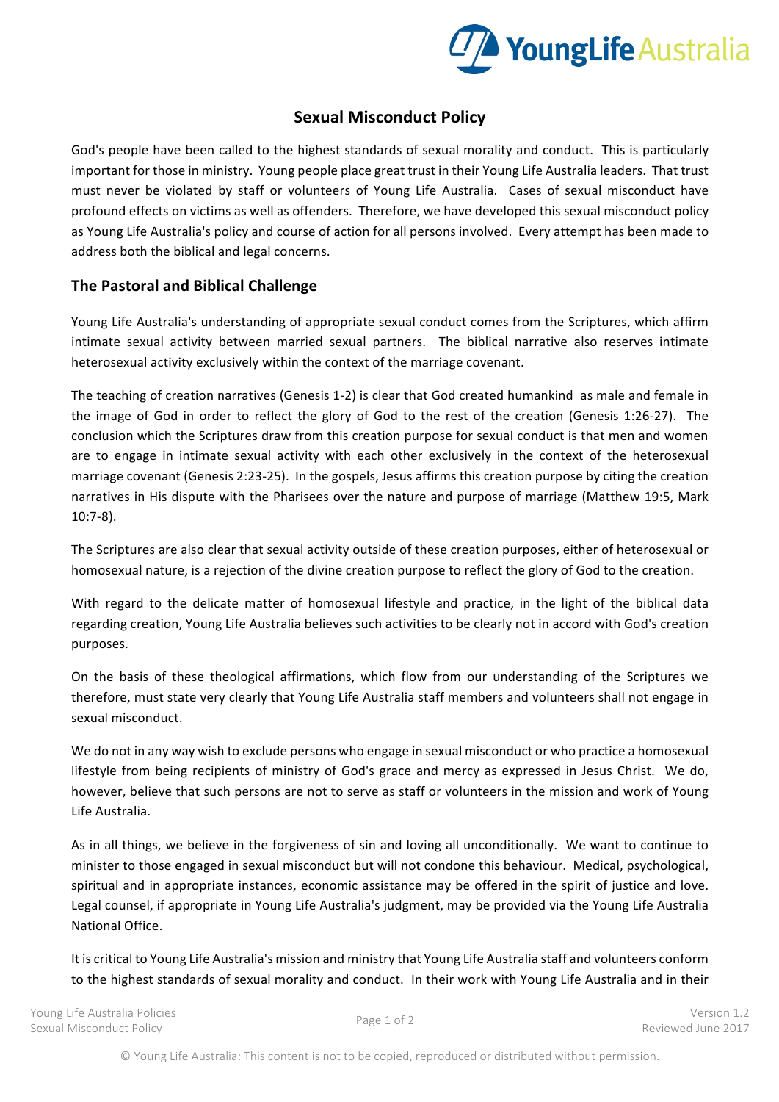

## **Sexual Misconduct Policy**

God's people have been called to the highest standards of sexual morality and conduct. This is particularly important for those in ministry. Young people place great trust in their Young Life Australia leaders. That trust must never be violated by staff or volunteers of Young Life Australia. Cases of sexual misconduct have profound effects on victims as well as offenders. Therefore, we have developed this sexual misconduct policy as Young Life Australia's policy and course of action for all persons involved. Every attempt has been made to address both the biblical and legal concerns.

## **The Pastoral and Biblical Challenge**

Young Life Australia's understanding of appropriate sexual conduct comes from the Scriptures, which affirm intimate sexual activity between married sexual partners. The biblical narrative also reserves intimate heterosexual activity exclusively within the context of the marriage covenant.

The teaching of creation narratives (Genesis 1-2) is clear that God created humankind as male and female in the image of God in order to reflect the glory of God to the rest of the creation (Genesis 1:26-27). The conclusion which the Scriptures draw from this creation purpose for sexual conduct is that men and women are to engage in intimate sexual activity with each other exclusively in the context of the heterosexual marriage covenant (Genesis 2:23-25). In the gospels, Jesus affirms this creation purpose by citing the creation narratives in His dispute with the Pharisees over the nature and purpose of marriage (Matthew 19:5, Mark 10:7-8).

The Scriptures are also clear that sexual activity outside of these creation purposes, either of heterosexual or homosexual nature, is a rejection of the divine creation purpose to reflect the glory of God to the creation.

With regard to the delicate matter of homosexual lifestyle and practice, in the light of the biblical data regarding creation, Young Life Australia believes such activities to be clearly not in accord with God's creation purposes.

On the basis of these theological affirmations, which flow from our understanding of the Scriptures we therefore, must state very clearly that Young Life Australia staff members and volunteers shall not engage in sexual misconduct.

We do not in any way wish to exclude persons who engage in sexual misconduct or who practice a homosexual lifestyle from being recipients of ministry of God's grace and mercy as expressed in Jesus Christ. We do, however, believe that such persons are not to serve as staff or volunteers in the mission and work of Young Life Australia.

As in all things, we believe in the forgiveness of sin and loving all unconditionally. We want to continue to minister to those engaged in sexual misconduct but will not condone this behaviour. Medical, psychological, spiritual and in appropriate instances, economic assistance may be offered in the spirit of justice and love. Legal counsel, if appropriate in Young Life Australia's judgment, may be provided via the Young Life Australia National Office.

It is critical to Young Life Australia's mission and ministry that Young Life Australia staff and volunteers conform to the highest standards of sexual morality and conduct. In their work with Young Life Australia and in their

Young Life Australia Policies Sexual Misconduct Policy Page 1 of 2 Version 1.2